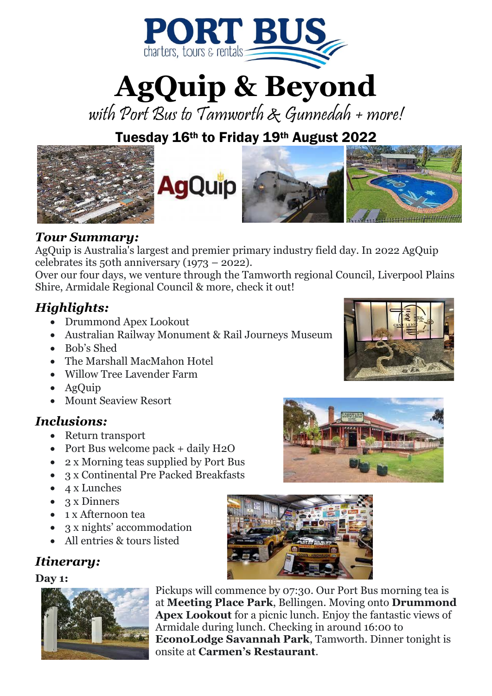

**AgQuip & Beyond**

with Port Bus to Tamworth & Gunnedah + more!

## Tuesday 16th to Friday 19th August 2022



## *Tour Summary:*

AgQuip is Australia's largest and premier primary industry field day. In 2022 AgQuip celebrates its 50th anniversary (1973 – 2022).

Over our four days, we venture through the Tamworth regional Council, Liverpool Plains Shire, Armidale Regional Council & more, check it out!

## *Highlights:*

- Drummond Apex Lookout
- Australian Railway Monument & Rail Journeys Museum
- Bob's Shed
- The Marshall MacMahon Hotel
- Willow Tree Lavender Farm
- AgQuip
- Mount Seaview Resort

## *Inclusions:*

- Return transport
- Port Bus welcome pack + daily H2O
- 2 x Morning teas supplied by Port Bus
- 3 x Continental Pre Packed Breakfasts
- 4 x Lunches
- 3 x Dinners
- 1 x Afternoon tea
- 3 x nights' accommodation
- All entries & tours listed

## *Itinerary:*

#### **Day 1:**



Pickups will commence by 07:30. Our Port Bus morning tea is at **Meeting Place Park**, Bellingen. Moving onto **Drummond Apex Lookout** for a picnic lunch. Enjoy the fantastic views of Armidale during lunch. Checking in around 16:00 to **EconoLodge Savannah Park**, Tamworth. Dinner tonight is onsite at **Carmen's Restaurant**.